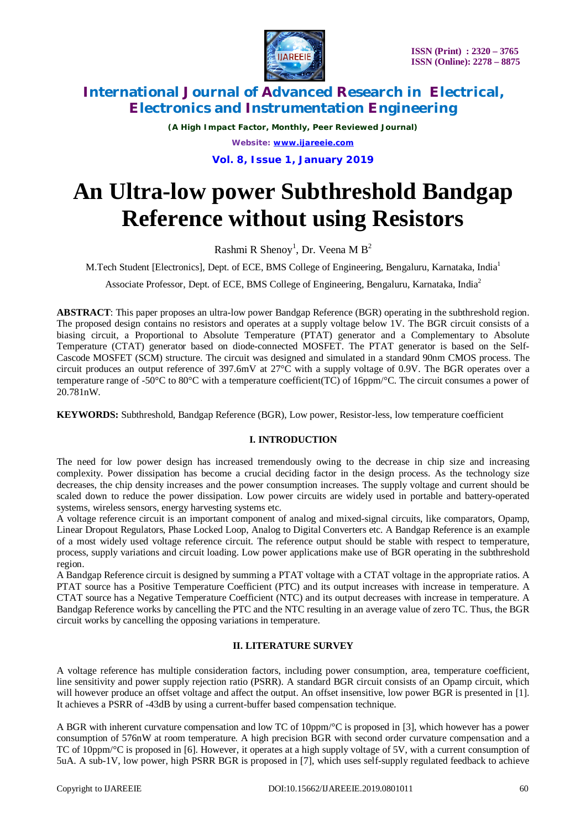

*(A High Impact Factor, Monthly, Peer Reviewed Journal) Website: [www.ijareeie.com](http://www.ijareeie.com)* **Vol. 8, Issue 1, January 2019**

# **An Ultra-low power Subthreshold Bandgap Reference without using Resistors**

Rashmi R Shenoy<sup>1</sup>, Dr. Veena M B<sup>2</sup>

M.Tech Student [Electronics], Dept. of ECE, BMS College of Engineering, Bengaluru, Karnataka, India<sup>1</sup>

Associate Professor, Dept. of ECE, BMS College of Engineering, Bengaluru, Karnataka, India<sup>2</sup>

**ABSTRACT**: This paper proposes an ultra-low power Bandgap Reference (BGR) operating in the subthreshold region. The proposed design contains no resistors and operates at a supply voltage below 1V. The BGR circuit consists of a biasing circuit, a Proportional to Absolute Temperature (PTAT) generator and a Complementary to Absolute Temperature (CTAT) generator based on diode-connected MOSFET. The PTAT generator is based on the Self-Cascode MOSFET (SCM) structure. The circuit was designed and simulated in a standard 90nm CMOS process. The circuit produces an output reference of 397.6mV at 27°C with a supply voltage of 0.9V. The BGR operates over a temperature range of -50°C to 80°C with a temperature coefficient(TC) of 16ppm/°C. The circuit consumes a power of 20.781nW.

**KEYWORDS:** Subthreshold, Bandgap Reference (BGR), Low power, Resistor-less, low temperature coefficient

### **I. INTRODUCTION**

The need for low power design has increased tremendously owing to the decrease in chip size and increasing complexity. Power dissipation has become a crucial deciding factor in the design process. As the technology size decreases, the chip density increases and the power consumption increases. The supply voltage and current should be scaled down to reduce the power dissipation. Low power circuits are widely used in portable and battery-operated systems, wireless sensors, energy harvesting systems etc.

A voltage reference circuit is an important component of analog and mixed-signal circuits, like comparators, Opamp, Linear Dropout Regulators, Phase Locked Loop, Analog to Digital Converters etc. A Bandgap Reference is an example of a most widely used voltage reference circuit. The reference output should be stable with respect to temperature, process, supply variations and circuit loading. Low power applications make use of BGR operating in the subthreshold region.

A Bandgap Reference circuit is designed by summing a PTAT voltage with a CTAT voltage in the appropriate ratios. A PTAT source has a Positive Temperature Coefficient (PTC) and its output increases with increase in temperature. A CTAT source has a Negative Temperature Coefficient (NTC) and its output decreases with increase in temperature. A Bandgap Reference works by cancelling the PTC and the NTC resulting in an average value of zero TC. Thus, the BGR circuit works by cancelling the opposing variations in temperature.

#### **II. LITERATURE SURVEY**

A voltage reference has multiple consideration factors, including power consumption, area, temperature coefficient, line sensitivity and power supply rejection ratio (PSRR). A standard BGR circuit consists of an Opamp circuit, which will however produce an offset voltage and affect the output. An offset insensitive, low power BGR is presented in [1]. It achieves a PSRR of -43dB by using a current-buffer based compensation technique.

A BGR with inherent curvature compensation and low TC of 10ppm/°C is proposed in [3], which however has a power consumption of 576nW at room temperature. A high precision BGR with second order curvature compensation and a TC of 10ppm/°C is proposed in [6]. However, it operates at a high supply voltage of 5V, with a current consumption of 5uA. A sub-1V, low power, high PSRR BGR is proposed in [7], which uses self-supply regulated feedback to achieve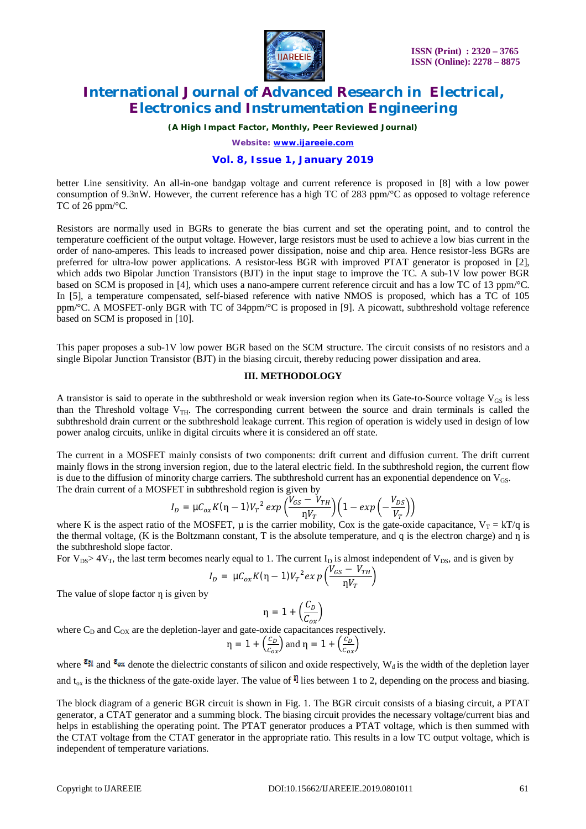

*(A High Impact Factor, Monthly, Peer Reviewed Journal)*

*Website: [www.ijareeie.com](http://www.ijareeie.com)*

### **Vol. 8, Issue 1, January 2019**

better Line sensitivity. An all-in-one bandgap voltage and current reference is proposed in [8] with a low power consumption of 9.3nW. However, the current reference has a high TC of 283 ppm/°C as opposed to voltage reference TC of 26 ppm/°C.

Resistors are normally used in BGRs to generate the bias current and set the operating point, and to control the temperature coefficient of the output voltage. However, large resistors must be used to achieve a low bias current in the order of nano-amperes. This leads to increased power dissipation, noise and chip area. Hence resistor-less BGRs are preferred for ultra-low power applications. A resistor-less BGR with improved PTAT generator is proposed in [2], which adds two Bipolar Junction Transistors (BJT) in the input stage to improve the TC. A sub-1V low power BGR based on SCM is proposed in [4], which uses a nano-ampere current reference circuit and has a low TC of 13 ppm/°C. In [5], a temperature compensated, self-biased reference with native NMOS is proposed, which has a TC of 105 ppm/°C. A MOSFET-only BGR with TC of 34ppm/°C is proposed in [9]. A picowatt, subthreshold voltage reference based on SCM is proposed in [10].

This paper proposes a sub-1V low power BGR based on the SCM structure. The circuit consists of no resistors and a single Bipolar Junction Transistor (BJT) in the biasing circuit, thereby reducing power dissipation and area.

#### **III. METHODOLOGY**

A transistor is said to operate in the subthreshold or weak inversion region when its Gate-to-Source voltage  $V_{GS}$  is less than the Threshold voltage  $V_{TH}$ . The corresponding current between the source and drain terminals is called the subthreshold drain current or the subthreshold leakage current. This region of operation is widely used in design of low power analog circuits, unlike in digital circuits where it is considered an off state.

The current in a MOSFET mainly consists of two components: drift current and diffusion current. The drift current mainly flows in the strong inversion region, due to the lateral electric field. In the subthreshold region, the current flow is due to the diffusion of minority charge carriers. The subthreshold current has an exponential dependence on  $V_{GS}$ . The drain current of a MOSFET in subthreshold region is given by

$$
I_D = \mu C_{ox} K(\eta - 1) V_T^2 \exp\left(\frac{V_{GS} - V_{TH}}{\eta V_T}\right) \left(1 - \exp\left(-\frac{V_{DS}}{V_T}\right)\right)
$$

where K is the aspect ratio of the MOSFET,  $\mu$  is the carrier mobility, Cox is the gate-oxide capacitance,  $V_T = kT/q$  is the thermal voltage,  $(K$  is the Boltzmann constant, T is the absolute temperature, and q is the electron charge) and  $\eta$  is the subthreshold slope factor.

For  $V_{DS} > 4V_T$ , the last term becomes nearly equal to 1. The current  $I_D$  is almost independent of  $V_{DS}$ , and is given by

$$
I_D = \mu C_{ox} K(\eta - 1) V_T^2 exp\left(\frac{V_{GS} - V_{TH}}{\eta V_T}\right)
$$

The value of slope factor  $\eta$  is given by

$$
\eta = 1 + \left(\frac{C_D}{C_{ox}}\right)
$$

where  $C_D$  and  $C_{OX}$  are the depletion-layer and gate-oxide capacitances respectively.

$$
\eta = 1 + \left(\frac{c_D}{c_{ox}}\right)
$$
 and  $\eta = 1 + \left(\frac{c_D}{c_{ox}}\right)$ 

where  $\epsilon_{\text{M}}$  and  $\epsilon_{\text{W}}$  denote the dielectric constants of silicon and oxide respectively, W<sub>d</sub> is the width of the depletion layer and  $t_{ox}$  is the thickness of the gate-oxide layer. The value of  $\mathbb{I}$  lies between 1 to 2, depending on the process and biasing.

The block diagram of a generic BGR circuit is shown in Fig. 1. The BGR circuit consists of a biasing circuit, a PTAT generator, a CTAT generator and a summing block. The biasing circuit provides the necessary voltage/current bias and helps in establishing the operating point. The PTAT generator produces a PTAT voltage, which is then summed with the CTAT voltage from the CTAT generator in the appropriate ratio. This results in a low TC output voltage, which is independent of temperature variations.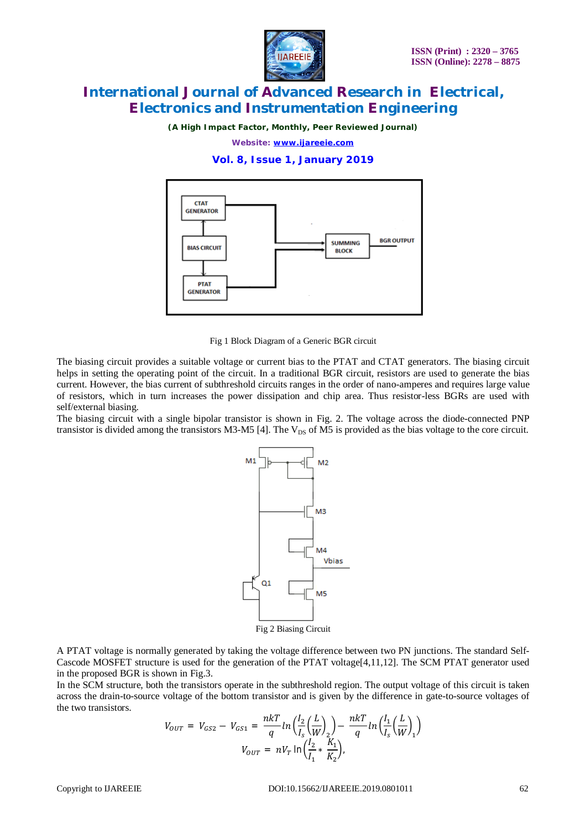

*(A High Impact Factor, Monthly, Peer Reviewed Journal)*

*Website: [www.ijareeie.com](http://www.ijareeie.com)*

**Vol. 8, Issue 1, January 2019**



Fig 1 Block Diagram of a Generic BGR circuit

The biasing circuit provides a suitable voltage or current bias to the PTAT and CTAT generators. The biasing circuit helps in setting the operating point of the circuit. In a traditional BGR circuit, resistors are used to generate the bias current. However, the bias current of subthreshold circuits ranges in the order of nano-amperes and requires large value of resistors, which in turn increases the power dissipation and chip area. Thus resistor-less BGRs are used with self/external biasing.

The biasing circuit with a single bipolar transistor is shown in Fig. 2. The voltage across the diode-connected PNP transistor is divided among the transistors M3-M5 [4]. The  $V_{DS}$  of M5 is provided as the bias voltage to the core circuit.



A PTAT voltage is normally generated by taking the voltage difference between two PN junctions. The standard Self-Cascode MOSFET structure is used for the generation of the PTAT voltage[4,11,12]. The SCM PTAT generator used in the proposed BGR is shown in Fig.3.

In the SCM structure, both the transistors operate in the subthreshold region. The output voltage of this circuit is taken across the drain-to-source voltage of the bottom transistor and is given by the difference in gate-to-source voltages of the two transistors.

$$
V_{OUT} = V_{GS2} - V_{GS1} = \frac{n k T}{q} ln \left( \frac{I_2}{I_s} \left( \frac{L}{W} \right)_2 \right) - \frac{n k T}{q} ln \left( \frac{I_1}{I_s} \left( \frac{L}{W} \right)_1 \right)
$$
  

$$
V_{OUT} = n V_T ln \left( \frac{I_2}{I_1} * \frac{K_1}{K_2} \right).
$$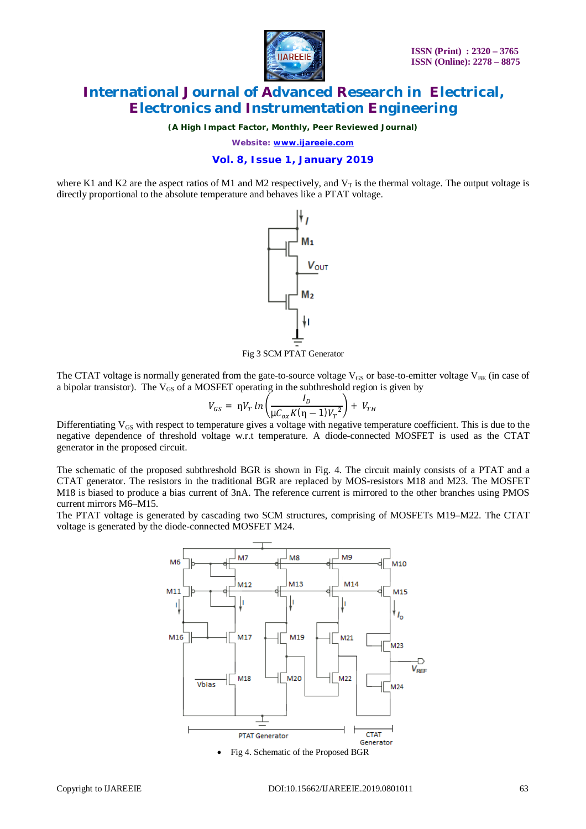

(A High Impact Factor, Monthly, Peer Reviewed Journal)

Website: www.ijareeie.com

### Vol. 8, Issue 1, January 2019

where K1 and K2 are the aspect ratios of M1 and M2 respectively, and  $V<sub>T</sub>$  is the thermal voltage. The output voltage is directly proportional to the absolute temperature and behaves like a PTAT voltage.



Fig 3 SCM PTAT Generator

The CTAT voltage is normally generated from the gate-to-source voltage  $V_{GS}$  or base-to-emitter voltage  $V_{BE}$  (in case of a bipolar transistor). The  $V_{GS}$  of a MOSFET operating in the subthreshold region is given by

$$
V_{GS} = \eta V_T \ln \left( \frac{I_D}{\mu C_{ox} K (\eta - 1) V_T^2} \right) + V_{TH}
$$

Differentiating  $V_{GS}$  with respect to temperature gives a voltage with negative temperature coefficient. This is due to the negative dependence of threshold voltage w.r.t temperature. A diode-connected MOSFET is used as the CTAT generator in the proposed circuit.

The schematic of the proposed subthreshold BGR is shown in Fig. 4. The circuit mainly consists of a PTAT and a CTAT generator. The resistors in the traditional BGR are replaced by MOS-resistors M18 and M23. The MOSFET M18 is biased to produce a bias current of 3nA. The reference current is mirrored to the other branches using PMOS current mirrors M6-M15.

The PTAT voltage is generated by cascading two SCM structures, comprising of MOSFETs M19–M22. The CTAT voltage is generated by the diode-connected MOSFET M24.

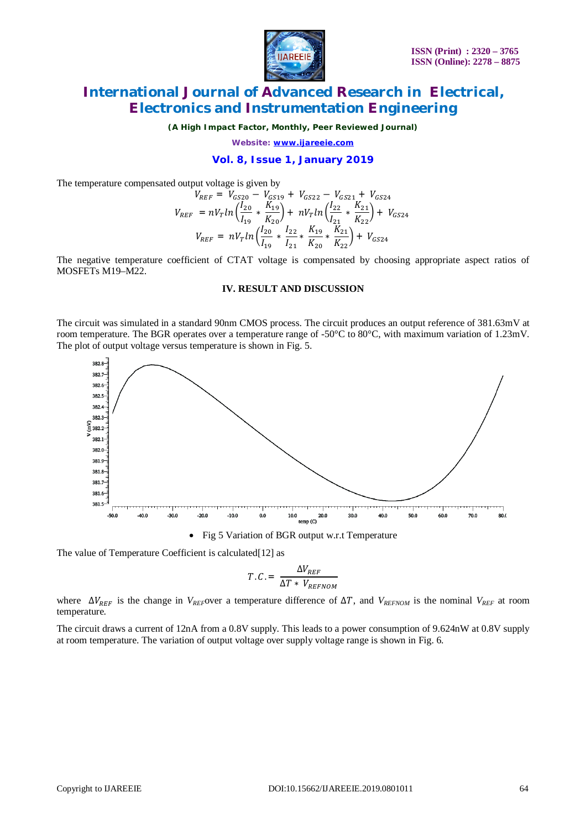

*(A High Impact Factor, Monthly, Peer Reviewed Journal)*

*Website: [www.ijareeie.com](http://www.ijareeie.com)*

**Vol. 8, Issue 1, January 2019**

The temperature compensated output voltage is given by

$$
V_{REF} = V_{GS20} - V_{GS19} + V_{GS22} - V_{GS21} + V_{GS24}
$$
  
\n
$$
V_{REF} = nV_{T}ln\left(\frac{I_{20}}{I_{19}} * \frac{K_{19}}{K_{20}}\right) + nV_{T}ln\left(\frac{I_{22}}{I_{21}} * \frac{K_{21}}{K_{22}}\right) + V_{GS24}
$$
  
\n
$$
V_{REF} = nV_{T}ln\left(\frac{I_{20}}{I_{19}} * \frac{I_{22}}{I_{21}} * \frac{K_{19}}{K_{20}} * \frac{K_{21}}{K_{22}}\right) + V_{GS24}
$$

The negative temperature coefficient of CTAT voltage is compensated by choosing appropriate aspect ratios of MOSFETs M19–M22.

#### **IV. RESULT AND DISCUSSION**

The circuit was simulated in a standard 90nm CMOS process. The circuit produces an output reference of 381.63mV at room temperature. The BGR operates over a temperature range of -50°C to 80°C, with maximum variation of 1.23mV. The plot of output voltage versus temperature is shown in Fig. 5.



Fig 5 Variation of BGR output w.r.t Temperature

The value of Temperature Coefficient is calculated<sup>[12]</sup> as

$$
T.C. = \frac{\Delta V_{REF}}{\Delta T * V_{REFNOM}}
$$

where  $\Delta V_{REF}$  is the change in *V<sub>REF</sub>*over a temperature difference of  $\Delta T$ , and *V<sub>REFNOM</sub>* is the nominal *V<sub>REF</sub>* at room temperature.

The circuit draws a current of 12nA from a 0.8V supply. This leads to a power consumption of 9.624nW at 0.8V supply at room temperature. The variation of output voltage over supply voltage range is shown in Fig. 6.